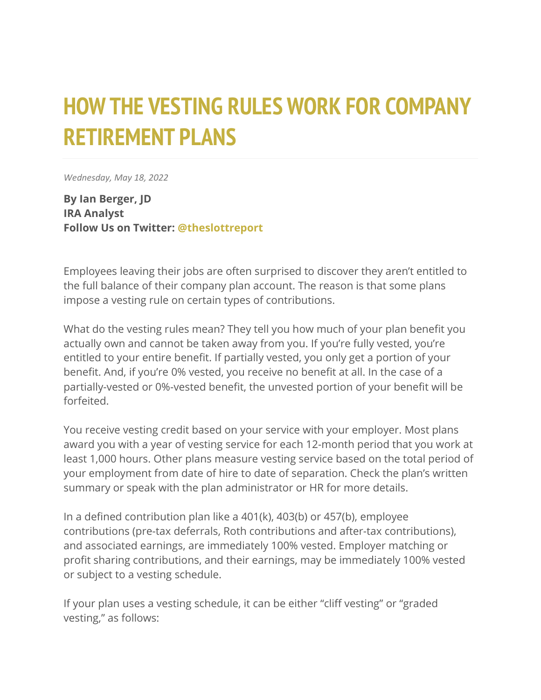## **HOW THE VESTING RULES WORK FOR COMPANY RETIREMENT PLANS**

*Wednesday, May 18, 2022*

**By Ian Berger, JD IRA Analyst Follow Us on Twitter: [@theslottreport](https://twitter.com/theslottreport)**

Employees leaving their jobs are often surprised to discover they aren't entitled to the full balance of their company plan account. The reason is that some plans impose a vesting rule on certain types of contributions.

What do the vesting rules mean? They tell you how much of your plan benefit you actually own and cannot be taken away from you. If you're fully vested, you're entitled to your entire benefit. If partially vested, you only get a portion of your benefit. And, if you're 0% vested, you receive no benefit at all. In the case of a partially-vested or 0%-vested benefit, the unvested portion of your benefit will be forfeited.

You receive vesting credit based on your service with your employer. Most plans award you with a year of vesting service for each 12-month period that you work at least 1,000 hours. Other plans measure vesting service based on the total period of your employment from date of hire to date of separation. Check the plan's written summary or speak with the plan administrator or HR for more details.

In a defined contribution plan like a 401(k), 403(b) or 457(b), employee contributions (pre-tax deferrals, Roth contributions and after-tax contributions), and associated earnings, are immediately 100% vested. Employer matching or profit sharing contributions, and their earnings, may be immediately 100% vested or subject to a vesting schedule.

If your plan uses a vesting schedule, it can be either "cliff vesting" or "graded vesting," as follows: